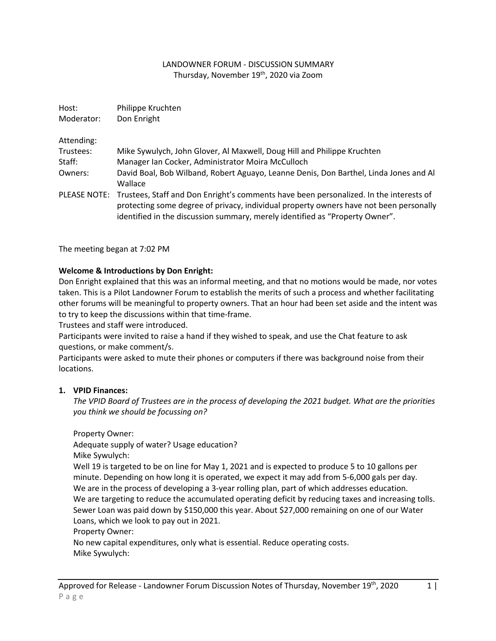## LANDOWNER FORUM - DISCUSSION SUMMARY Thursday, November 19<sup>th</sup>, 2020 via Zoom

| Host:<br>Moderator: | Philippe Kruchten<br>Don Enright                                                                                                                                                                                                                                              |
|---------------------|-------------------------------------------------------------------------------------------------------------------------------------------------------------------------------------------------------------------------------------------------------------------------------|
|                     |                                                                                                                                                                                                                                                                               |
| Trustees:           | Mike Sywulych, John Glover, Al Maxwell, Doug Hill and Philippe Kruchten                                                                                                                                                                                                       |
| Staff:              | Manager Ian Cocker, Administrator Moira McCulloch                                                                                                                                                                                                                             |
| Owners:             | David Boal, Bob Wilband, Robert Aguayo, Leanne Denis, Don Barthel, Linda Jones and Al<br>Wallace                                                                                                                                                                              |
|                     | PLEASE NOTE: Trustees, Staff and Don Enright's comments have been personalized. In the interests of<br>protecting some degree of privacy, individual property owners have not been personally<br>identified in the discussion summary, merely identified as "Property Owner". |

The meeting began at 7:02 PM

#### **Welcome & Introductions by Don Enright:**

Don Enright explained that this was an informal meeting, and that no motions would be made, nor votes taken. This is a Pilot Landowner Forum to establish the merits of such a process and whether facilitating other forums will be meaningful to property owners. That an hour had been set aside and the intent was to try to keep the discussions within that time-frame.

Trustees and staff were introduced.

Participants were invited to raise a hand if they wished to speak, and use the Chat feature to ask questions, or make comment/s.

Participants were asked to mute their phones or computers if there was background noise from their locations.

#### **1. VPID Finances:**

*The VPID Board of Trustees are in the process of developing the 2021 budget. What are the priorities you think we should be focussing on?*

Property Owner:

Adequate supply of water? Usage education?

Mike Sywulych:

Well 19 is targeted to be on line for May 1, 2021 and is expected to produce 5 to 10 gallons per minute. Depending on how long it is operated, we expect it may add from 5-6,000 gals per day. We are in the process of developing a 3-year rolling plan, part of which addresses education. We are targeting to reduce the accumulated operating deficit by reducing taxes and increasing tolls. Sewer Loan was paid down by \$150,000 this year. About \$27,000 remaining on one of our Water Loans, which we look to pay out in 2021.

Property Owner:

No new capital expenditures, only what is essential. Reduce operating costs. Mike Sywulych: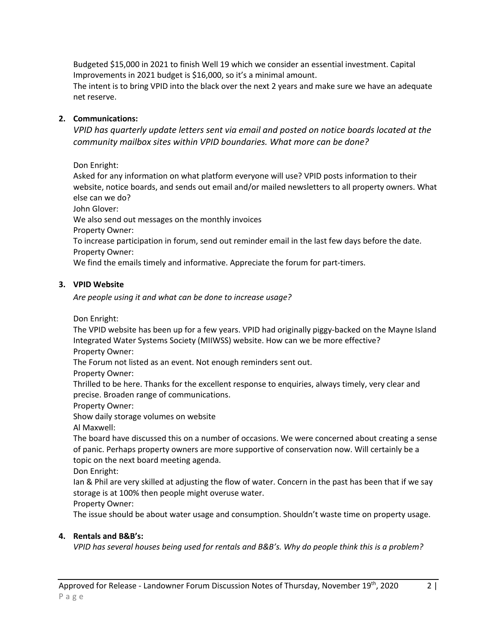Budgeted \$15,000 in 2021 to finish Well 19 which we consider an essential investment. Capital Improvements in 2021 budget is \$16,000, so it's a minimal amount.

The intent is to bring VPID into the black over the next 2 years and make sure we have an adequate net reserve.

## **2. Communications:**

*VPID has quarterly update letters sent via email and posted on notice boards located at the community mailbox sites within VPID boundaries. What more can be done?*

Don Enright:

Asked for any information on what platform everyone will use? VPID posts information to their website, notice boards, and sends out email and/or mailed newsletters to all property owners. What else can we do?

John Glover:

We also send out messages on the monthly invoices

Property Owner:

To increase participation in forum, send out reminder email in the last few days before the date. Property Owner:

We find the emails timely and informative. Appreciate the forum for part-timers.

## **3. VPID Website**

*Are people using it and what can be done to increase usage?*

Don Enright:

The VPID website has been up for a few years. VPID had originally piggy-backed on the Mayne Island Integrated Water Systems Society (MIIWSS) website. How can we be more effective? Property Owner:

The Forum not listed as an event. Not enough reminders sent out.

Property Owner:

Thrilled to be here. Thanks for the excellent response to enquiries, always timely, very clear and precise. Broaden range of communications.

Property Owner:

Show daily storage volumes on website

Al Maxwell:

The board have discussed this on a number of occasions. We were concerned about creating a sense of panic. Perhaps property owners are more supportive of conservation now. Will certainly be a topic on the next board meeting agenda.

Don Enright:

Ian & Phil are very skilled at adjusting the flow of water. Concern in the past has been that if we say storage is at 100% then people might overuse water.

Property Owner:

The issue should be about water usage and consumption. Shouldn't waste time on property usage.

# **4. Rentals and B&B's:**

*VPID has several houses being used for rentals and B&B's. Why do people think this is a problem?*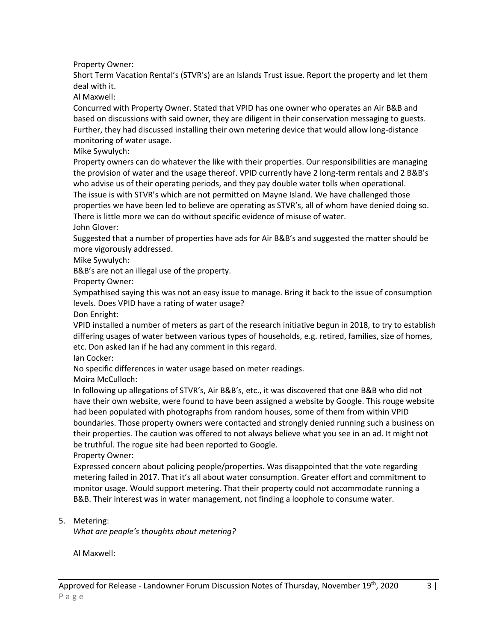Property Owner:

Short Term Vacation Rental's (STVR's) are an Islands Trust issue. Report the property and let them deal with it.

Al Maxwell:

Concurred with Property Owner. Stated that VPID has one owner who operates an Air B&B and based on discussions with said owner, they are diligent in their conservation messaging to guests. Further, they had discussed installing their own metering device that would allow long-distance monitoring of water usage.

Mike Sywulych:

Property owners can do whatever the like with their properties. Our responsibilities are managing the provision of water and the usage thereof. VPID currently have 2 long-term rentals and 2 B&B's who advise us of their operating periods, and they pay double water tolls when operational. The issue is with STVR's which are not permitted on Mayne Island. We have challenged those properties we have been led to believe are operating as STVR's, all of whom have denied doing so. There is little more we can do without specific evidence of misuse of water.

John Glover:

Suggested that a number of properties have ads for Air B&B's and suggested the matter should be more vigorously addressed.

Mike Sywulych:

B&B's are not an illegal use of the property.

Property Owner:

Sympathised saying this was not an easy issue to manage. Bring it back to the issue of consumption levels. Does VPID have a rating of water usage?

Don Enright:

VPID installed a number of meters as part of the research initiative begun in 2018, to try to establish differing usages of water between various types of households, e.g. retired, families, size of homes, etc. Don asked Ian if he had any comment in this regard.

Ian Cocker:

No specific differences in water usage based on meter readings.

Moira McCulloch:

In following up allegations of STVR's, Air B&B's, etc., it was discovered that one B&B who did not have their own website, were found to have been assigned a website by Google. This rouge website had been populated with photographs from random houses, some of them from within VPID boundaries. Those property owners were contacted and strongly denied running such a business on their properties. The caution was offered to not always believe what you see in an ad. It might not be truthful. The rogue site had been reported to Google.

Property Owner:

Expressed concern about policing people/properties. Was disappointed that the vote regarding metering failed in 2017. That it's all about water consumption. Greater effort and commitment to monitor usage. Would support metering. That their property could not accommodate running a B&B. Their interest was in water management, not finding a loophole to consume water.

## 5. Metering:

*What are people's thoughts about metering?*

Al Maxwell: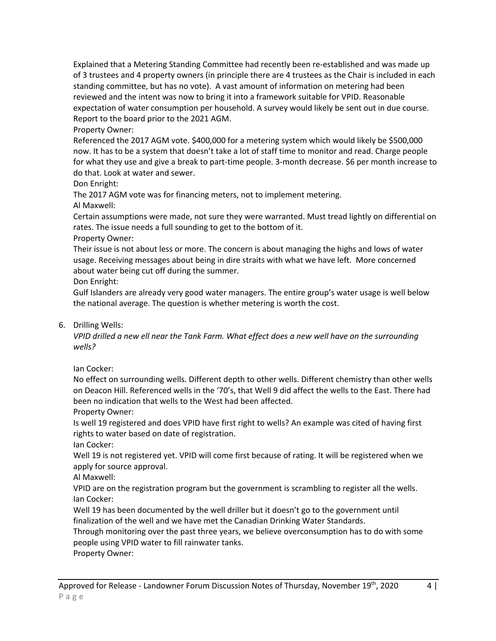Explained that a Metering Standing Committee had recently been re-established and was made up of 3 trustees and 4 property owners (in principle there are 4 trustees as the Chair is included in each standing committee, but has no vote). A vast amount of information on metering had been reviewed and the intent was now to bring it into a framework suitable for VPID. Reasonable expectation of water consumption per household. A survey would likely be sent out in due course. Report to the board prior to the 2021 AGM.

Property Owner:

Referenced the 2017 AGM vote. \$400,000 for a metering system which would likely be \$500,000 now. It has to be a system that doesn't take a lot of staff time to monitor and read. Charge people for what they use and give a break to part-time people. 3-month decrease. \$6 per month increase to do that. Look at water and sewer.

Don Enright:

The 2017 AGM vote was for financing meters, not to implement metering.

Al Maxwell:

Certain assumptions were made, not sure they were warranted. Must tread lightly on differential on rates. The issue needs a full sounding to get to the bottom of it.

Property Owner:

Their issue is not about less or more. The concern is about managing the highs and lows of water usage. Receiving messages about being in dire straits with what we have left. More concerned about water being cut off during the summer.

Don Enright:

Gulf Islanders are already very good water managers. The entire group's water usage is well below the national average. The question is whether metering is worth the cost.

## 6. Drilling Wells:

*VPID drilled a new ell near the Tank Farm. What effect does a new well have on the surrounding wells?*

Ian Cocker:

No effect on surrounding wells. Different depth to other wells. Different chemistry than other wells on Deacon Hill. Referenced wells in the '70's, that Well 9 did affect the wells to the East. There had been no indication that wells to the West had been affected.

Property Owner:

Is well 19 registered and does VPID have first right to wells? An example was cited of having first rights to water based on date of registration.

Ian Cocker:

Well 19 is not registered yet. VPID will come first because of rating. It will be registered when we apply for source approval.

Al Maxwell:

VPID are on the registration program but the government is scrambling to register all the wells. Ian Cocker:

Well 19 has been documented by the well driller but it doesn't go to the government until finalization of the well and we have met the Canadian Drinking Water Standards.

Through monitoring over the past three years, we believe overconsumption has to do with some people using VPID water to fill rainwater tanks.

Property Owner: